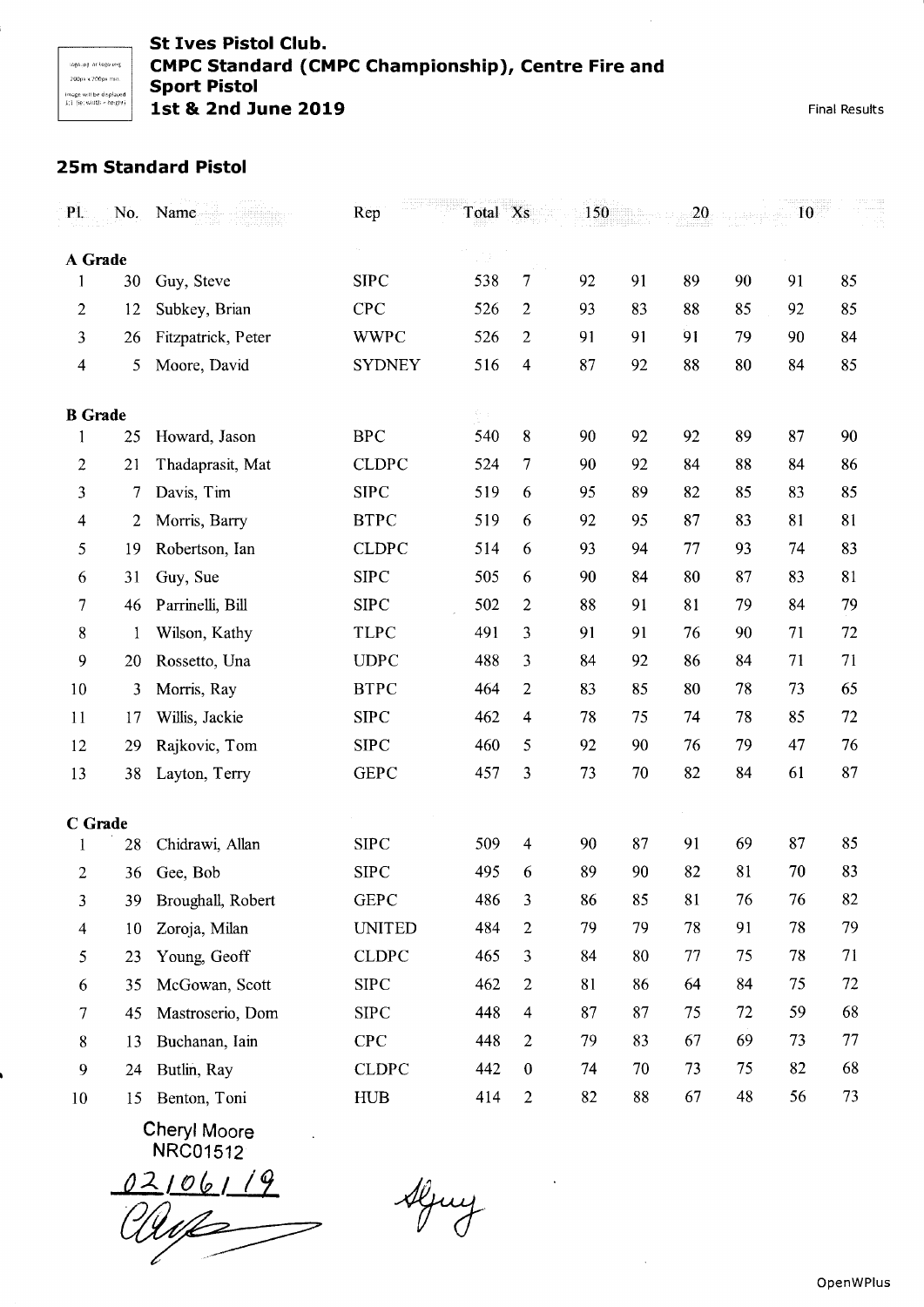Final Results

## 25m Standard Pistol

| $P1$ .         | No. | Name               | Rep           | Total Xs                                    |                  | 150 |    | 20 |    | 10 |    |
|----------------|-----|--------------------|---------------|---------------------------------------------|------------------|-----|----|----|----|----|----|
| A Grade        |     |                    |               |                                             |                  |     |    |    |    |    |    |
|                | 30  | Guy, Steve         | <b>SIPC</b>   | 538                                         | 7                | 92  | 91 | 89 | 90 | 91 | 85 |
| $\overline{c}$ | 12  | Subkey, Brian      | <b>CPC</b>    | 526                                         | $\overline{2}$   | 93  | 83 | 88 | 85 | 92 | 85 |
| 3              | 26  | Fitzpatrick, Peter | <b>WWPC</b>   | 526                                         | $\overline{2}$   | 91  | 91 | 91 | 79 | 90 | 84 |
| 4              | 5   | Moore, David       | <b>SYDNEY</b> | 516                                         | 4                | 87  | 92 | 88 | 80 | 84 | 85 |
| <b>B</b> Grade |     |                    |               | $\mathcal{C}_{\mathcal{P}_1,\mathcal{P}_2}$ |                  |     |    |    |    |    |    |
| 1              | 25  | Howard, Jason      | <b>BPC</b>    | 540                                         | 8                | 90  | 92 | 92 | 89 | 87 | 90 |
| $\overline{c}$ | 21  | Thadaprasit, Mat   | <b>CLDPC</b>  | 524                                         | 7                | 90  | 92 | 84 | 88 | 84 | 86 |
| 3              | 7   | Davis, Tim         | <b>SIPC</b>   | 519                                         | 6                | 95  | 89 | 82 | 85 | 83 | 85 |
| 4              | 2   | Morris, Barry      | <b>BTPC</b>   | 519                                         | 6                | 92  | 95 | 87 | 83 | 81 | 81 |
| 5              | 19  | Robertson, Ian     | <b>CLDPC</b>  | 514                                         | 6                | 93  | 94 | 77 | 93 | 74 | 83 |
| 6              | 31  | Guy, Sue           | <b>SIPC</b>   | 505                                         | 6                | 90  | 84 | 80 | 87 | 83 | 81 |
| 7              | 46  | Parrinelli, Bill   | <b>SIPC</b>   | 502                                         | $\mathbf{2}$     | 88  | 91 | 81 | 79 | 84 | 79 |
| 8              | 1   | Wilson, Kathy      | <b>TLPC</b>   | 491                                         | $\overline{3}$   | 91  | 91 | 76 | 90 | 71 | 72 |
| 9              | 20  | Rossetto, Una      | <b>UDPC</b>   | 488                                         | $\mathfrak{Z}$   | 84  | 92 | 86 | 84 | 71 | 71 |
| 10             | 3   | Morris, Ray        | <b>BTPC</b>   | 464                                         | $\overline{2}$   | 83  | 85 | 80 | 78 | 73 | 65 |
| 11             | 17  | Willis, Jackie     | <b>SIPC</b>   | 462                                         | $\overline{4}$   | 78  | 75 | 74 | 78 | 85 | 72 |
| 12             | 29  | Rajkovic, Tom      | <b>SIPC</b>   | 460                                         | 5                | 92  | 90 | 76 | 79 | 47 | 76 |
| 13             | 38  | Layton, Terry      | <b>GEPC</b>   | 457                                         | 3                | 73  | 70 | 82 | 84 | 61 | 87 |
| C Grade        |     |                    |               |                                             |                  |     |    |    |    |    |    |
| 1              | 28  | Chidrawi, Allan    | <b>SIPC</b>   | 509                                         | $\overline{4}$   | 90  | 87 | 91 | 69 | 87 | 85 |
| $\overline{2}$ | 36  | Gee, Bob           | <b>SIPC</b>   | 495                                         | 6                | 89  | 90 | 82 | 81 | 70 | 83 |
| 3              | 39  | Broughall, Robert  | <b>GEPC</b>   | 486                                         | 3                | 86  | 85 | 81 | 76 | 76 | 82 |
| $\overline{4}$ | 10  | Zoroja, Milan      | <b>UNITED</b> | 484                                         | $\overline{2}$   | 79  | 79 | 78 | 91 | 78 | 79 |
| 5              | 23  | Young, Geoff       | <b>CLDPC</b>  | 465                                         | $\mathbf{3}$     | 84  | 80 | 77 | 75 | 78 | 71 |
| 6              | 35  | McGowan, Scott     | ${\rm SIPC}$  | 462                                         | $\overline{2}$   | 81  | 86 | 64 | 84 | 75 | 72 |
| 7              | 45  | Mastroserio, Dom   | <b>SIPC</b>   | 448                                         | $\overline{4}$   | 87  | 87 | 75 | 72 | 59 | 68 |
| 8              | 13  | Buchanan, Iain     | CPC           | 448                                         | $\overline{2}$   | 79  | 83 | 67 | 69 | 73 | 77 |
| 9              | 24  | Butlin, Ray        | <b>CLDPC</b>  | 442                                         | $\boldsymbol{0}$ | 74  | 70 | 73 | 75 | 82 | 68 |
| 10             | 15  | Benton, Toni       | <b>HUB</b>    | 414                                         | $\overline{2}$   | 82  | 88 | 67 | 48 | 56 | 73 |

Cheryl Moore NRCo1512

02106119<br>Maaz  $\overline{\mathbf{z}}$ 

Aljuy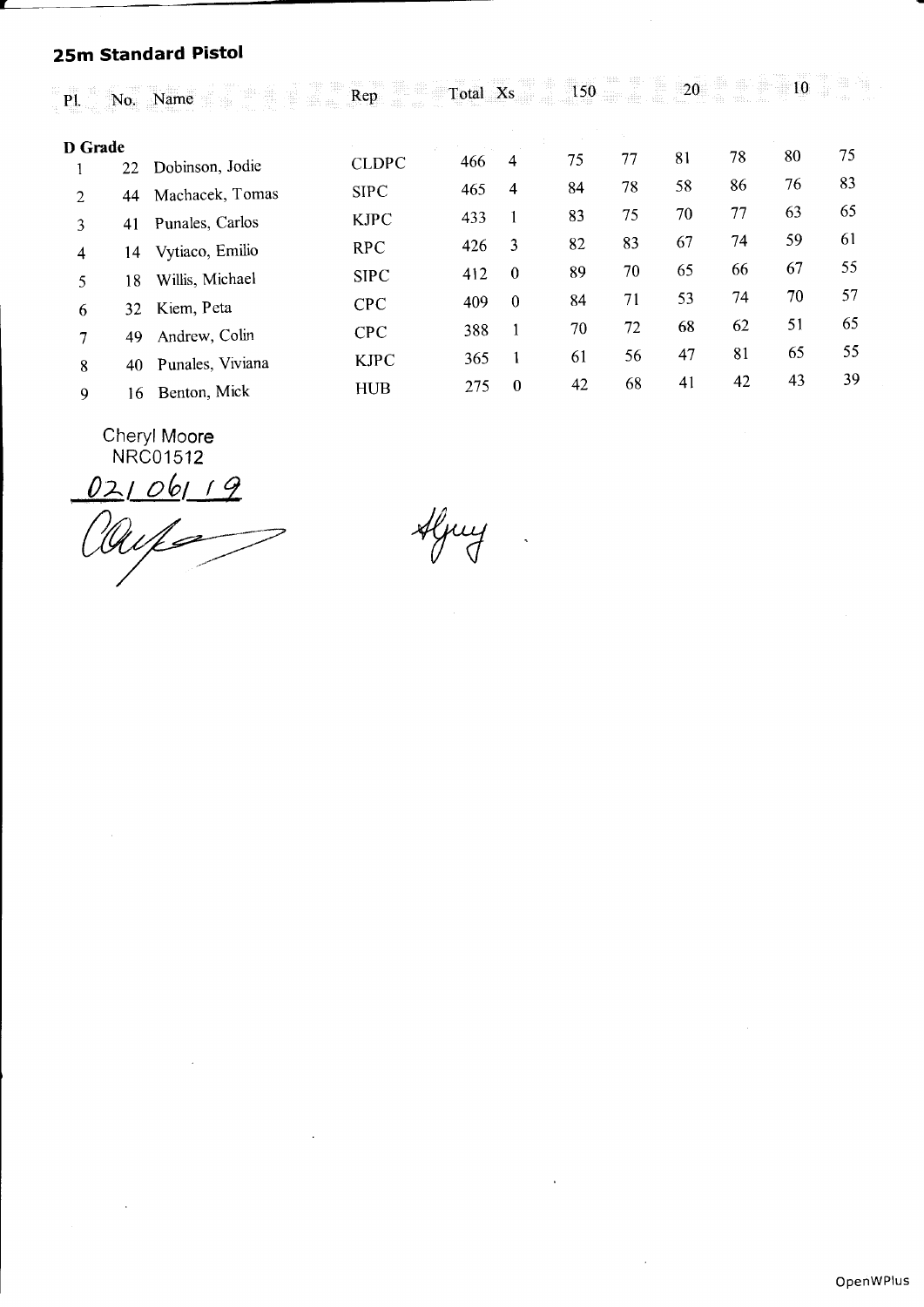# 25m Standard Pistol

| <b>P1.</b>        | No. | Name             | Rep          | Total Xs |              | 150 |    | 20 | 36. L | 10 |    |
|-------------------|-----|------------------|--------------|----------|--------------|-----|----|----|-------|----|----|
| D Grade           |     |                  |              |          |              |     |    |    |       | 80 | 75 |
|                   | 22  | Dobinson, Jodie  | <b>CLDPC</b> | 466      | 4            | 75  | 77 | 81 | 78    |    |    |
| $\mathfrak{D}$    | 44  | Machacek, Tomas  | <b>SIPC</b>  | 465      | 4            | 84  | 78 | 58 | 86    | 76 | 83 |
| 3                 | 41  | Punales, Carlos  | <b>KJPC</b>  | 433      |              | 83  | 75 | 70 | 77    | 63 | 65 |
| 4                 | 14  | Vytiaco, Emilio  | <b>RPC</b>   | 426      | 3            | 82  | 83 | 67 | 74    | 59 | 61 |
| 5.                | 18  | Willis, Michael  | <b>SIPC</b>  | 412      | $\mathbf{0}$ | 89  | 70 | 65 | 66    | 67 | 55 |
| 6                 | 32. | Kiem, Peta       | <b>CPC</b>   | 409      | $\mathbf{0}$ | 84  | 71 | 53 | 74    | 70 | 57 |
| $\overline{\tau}$ | 49  | Andrew, Colin    | <b>CPC</b>   | 388      | 1            | 70  | 72 | 68 | 62    | 51 | 65 |
| 8                 | 40  | Punales, Viviana | <b>KJPC</b>  | 365      | 1            | 61  | 56 | 47 | 81    | 65 | 55 |
| 9                 | 16  | Benton, Mick     | <b>HUB</b>   | 275      | $\bf{0}$     | 42  | 68 | 41 | 42    | 43 | 39 |
|                   |     |                  |              |          |              |     |    |    |       |    |    |

Cheryl Mo**ore** NRCO1512

02106119<br>auf

Aljuy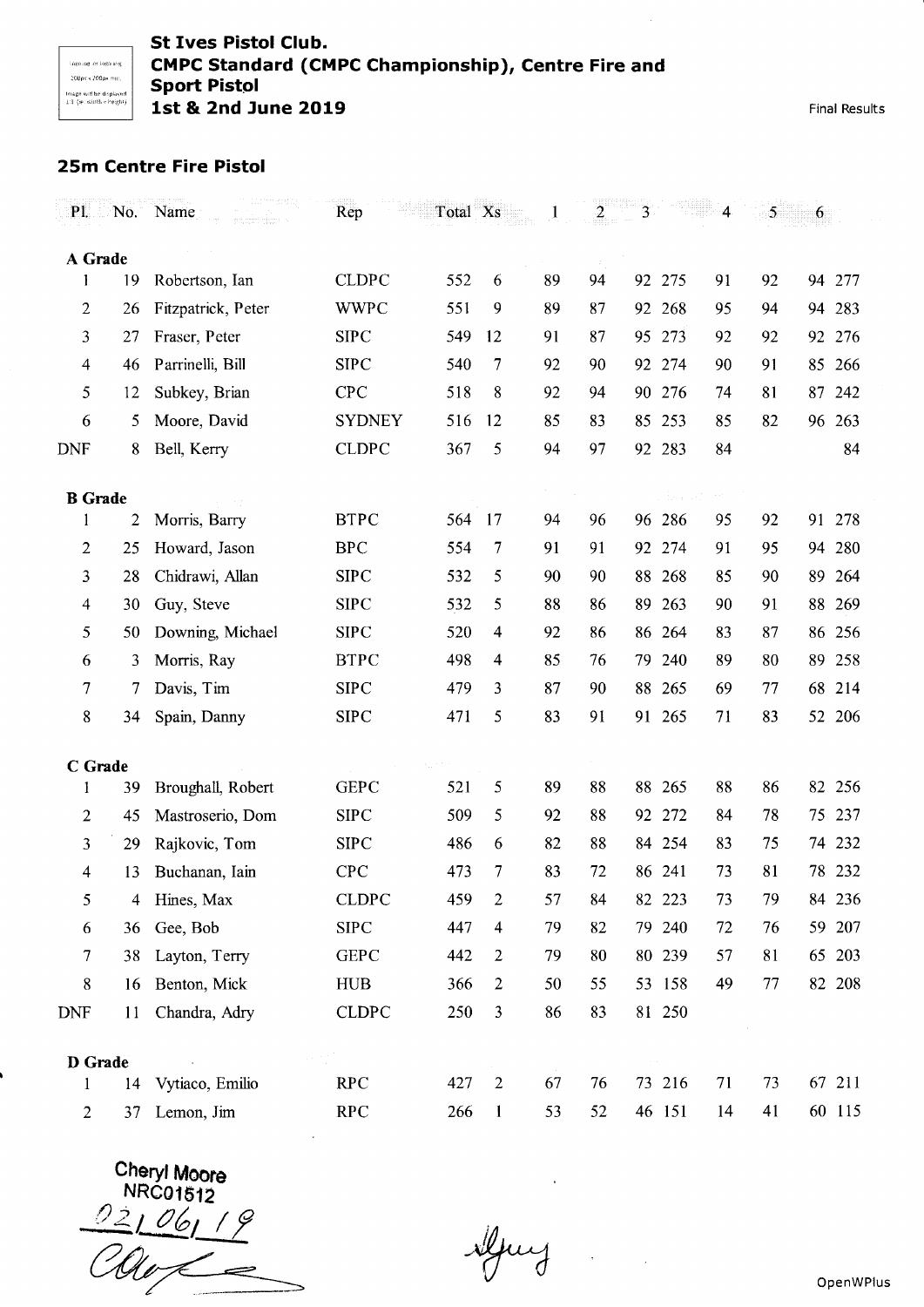### St lves Pistol Club. CMPC Standard (CMPC Championship), Centre Fire and Sport Pistol lst & 2nd June 2019

Final Results

## 25m Centre Fire Pistol

| $P1$ .         | $\mathbb{N}$ 0. | Name               | Rep           | Total Xs |                |    | $\overline{\mathbf{c}}$ | $\overline{3}$ |        | 4  | 5  | 6         |
|----------------|-----------------|--------------------|---------------|----------|----------------|----|-------------------------|----------------|--------|----|----|-----------|
| A Grade        |                 |                    |               |          |                |    |                         |                |        |    |    |           |
| 1              | 19              | Robertson, Ian     | <b>CLDPC</b>  | 552      | 6              | 89 | 94                      | 92             | 275    | 91 | 92 | 277<br>94 |
| $\mathbf{2}$   | 26              | Fitzpatrick, Peter | <b>WWPC</b>   | 551      | 9              | 89 | 87                      | 92             | 268    | 95 | 94 | 283<br>94 |
| 3              | 27              | Fraser, Peter      | <b>SIPC</b>   | 549      | 12             | 91 | 87                      | 95             | 273    | 92 | 92 | 276<br>92 |
| $\overline{4}$ | 46              | Parrinelli, Bill   | <b>SIPC</b>   | 540      | 7              | 92 | 90                      |                | 92 274 | 90 | 91 | 85<br>266 |
| 5              | 12              | Subkey, Brian      | <b>CPC</b>    | 518      | 8              | 92 | 94                      | 90             | 276    | 74 | 81 | 87<br>242 |
| 6              | 5               | Moore, David       | <b>SYDNEY</b> | 516      | 12             | 85 | 83                      | 85             | 253    | 85 | 82 | 263<br>96 |
| <b>DNF</b>     | 8               | Bell, Kerry        | <b>CLDPC</b>  | 367      | 5              | 94 | 97                      |                | 92 283 | 84 |    | 84        |
| <b>B</b> Grade |                 |                    |               |          |                |    |                         |                | s of   |    |    |           |
| 1              | 2               | Morris, Barry      | <b>BTPC</b>   | 564      | 17             | 94 | 96                      |                | 96 286 | 95 | 92 | 91<br>278 |
| 2              | 25              | Howard, Jason      | <b>BPC</b>    | 554      | 7              | 91 | 91                      | 92             | 274    | 91 | 95 | 280<br>94 |
| 3              | 28              | Chidrawi, Allan    | <b>SIPC</b>   | 532      | 5              | 90 | 90                      | 88             | 268    | 85 | 90 | 89<br>264 |
| 4              | 30              | Guy, Steve         | <b>SIPC</b>   | 532      | 5              | 88 | 86                      | 89             | 263    | 90 | 91 | 88<br>269 |
| 5              | 50              | Downing, Michael   | <b>SIPC</b>   | 520      | 4              | 92 | 86                      | 86             | 264    | 83 | 87 | 256<br>86 |
| 6              | 3               | Morris, Ray        | <b>BTPC</b>   | 498      | 4              | 85 | 76                      | 79             | 240    | 89 | 80 | 89<br>258 |
| 7              | 7               | Davis, Tim         | <b>SIPC</b>   | 479      | 3              | 87 | 90                      | 88             | 265    | 69 | 77 | 68<br>214 |
| 8              | 34              | Spain, Danny       | <b>SIPC</b>   | 471      | 5              | 83 | 91                      | 91             | 265    | 71 | 83 | 206<br>52 |
| C Grade        |                 |                    |               |          |                |    |                         |                |        |    |    |           |
| 1              | 39              | Broughall, Robert  | <b>GEPC</b>   | 521      | 5              | 89 | 88                      |                | 88 265 | 88 | 86 | 82 256    |
| $\overline{2}$ | 45              | Mastroserio, Dom   | <b>SIPC</b>   | 509      | 5              | 92 | 88                      |                | 92 272 | 84 | 78 | 237<br>75 |
| 3              | 29              | Rajkovic, Tom      | <b>SIPC</b>   | 486      | 6              | 82 | 88                      |                | 84 254 | 83 | 75 | 74 232    |
| 4              | 13              | Buchanan, Iain     | <b>CPC</b>    | 473      | 7              | 83 | 72                      |                | 86 241 | 73 | 81 | 78 232    |
| 5              | 4               | Hines, Max         | <b>CLDPC</b>  | 459      | 2              | 57 | 84                      |                | 82 223 | 73 | 79 | 84 236    |
| 6              | 36              | Gee, Bob           | ${\rm SIPC}$  | 447      | 4              | 79 | 82                      |                | 79 240 | 72 | 76 | 59 207    |
| 7              | 38              | Layton, Terry      | <b>GEPC</b>   | 442      | 2              | 79 | 80                      |                | 80 239 | 57 | 81 | 65 203    |
| 8              | 16              | Benton, Mick       | <b>HUB</b>    | 366      | $\overline{2}$ | 50 | 55                      |                | 53 158 | 49 | 77 | 82 208    |
| <b>DNF</b>     | 11              | Chandra, Adry      | <b>CLDPC</b>  | 250      | 3              | 86 | 83                      |                | 81 250 |    |    |           |
| D Grade        |                 |                    |               |          |                |    |                         |                |        |    |    |           |
| 1              | 14              | Vytiaco, Emilio    | <b>RPC</b>    | 427      | $\overline{2}$ | 67 | 76                      |                | 73 216 | 71 | 73 | 67 211    |
| $\overline{2}$ | 37              | Lemon, Jim         | <b>RPC</b>    | 266      | $\mathbf{1}$   | 53 | 52                      |                | 46 151 | 14 | 41 | 60 115    |

Cheryl Moore NRC01512<br>02106119<br>COU

Myring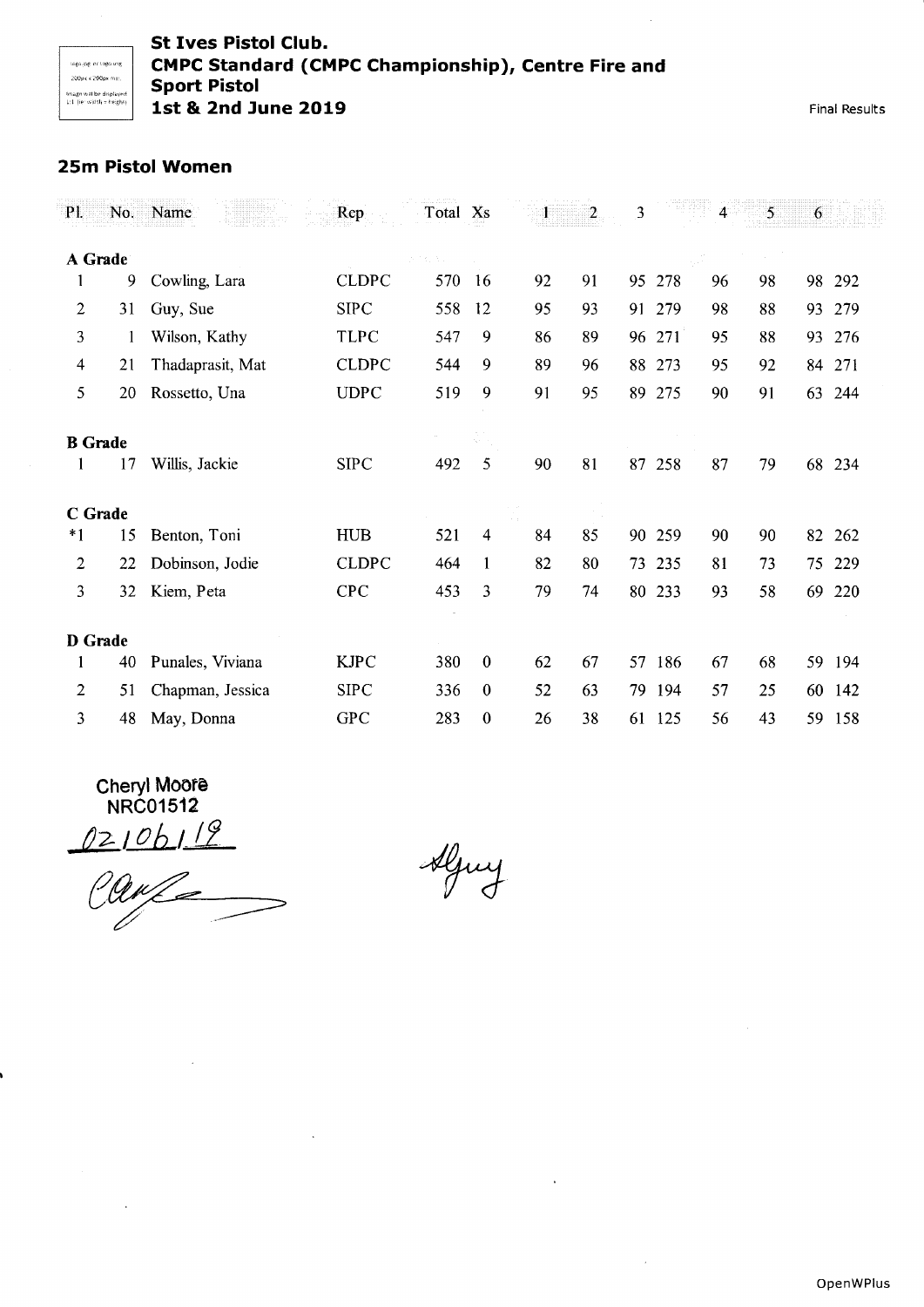#### St Ives Pistol Club. CMPC Standard (CMPC Championship), Centre Fire and **Sport Pistol** lst & 2nd June 2019

Final Results

# 25m Pistol Women

| $P1$ .         | No. | Name             | Rep          | Total Xs |              | 1  | 2  | 3   |     | $\overline{\mathbf{4}}$ | 5  | 6  |     |
|----------------|-----|------------------|--------------|----------|--------------|----|----|-----|-----|-------------------------|----|----|-----|
| A Grade        |     |                  |              |          |              |    |    |     |     |                         |    |    |     |
|                | 9   | Cowling, Lara    | <b>CLDPC</b> | 570      | 16           | 92 | 91 | 95  | 278 | 96                      | 98 | 98 | 292 |
| 2              | 31  | Guy, Sue         | <b>SIPC</b>  | 558      | 12           | 95 | 93 | 91  | 279 | 98                      | 88 | 93 | 279 |
| 3              | 1   | Wilson, Kathy    | <b>TLPC</b>  | 547      | 9            | 86 | 89 | 96  | 271 | 95                      | 88 | 93 | 276 |
| 4              | 21  | Thadaprasit, Mat | <b>CLDPC</b> | 544      | 9            | 89 | 96 | 88  | 273 | 95                      | 92 | 84 | 271 |
| 5              | 20  | Rossetto, Una    | <b>UDPC</b>  | 519      | 9            | 91 | 95 | 89  | 275 | 90                      | 91 | 63 | 244 |
| <b>B</b> Grade |     |                  |              |          |              |    |    |     |     |                         |    |    |     |
|                | 17  | Willis, Jackie   | <b>SIPC</b>  | 492      | 5            | 90 | 81 | 87  | 258 | 87                      | 79 | 68 | 234 |
| C Grade        |     |                  |              |          |              |    |    |     |     |                         |    |    |     |
| $*1$           | 15  | Benton, Toni     | <b>HUB</b>   | 521      | 4            | 84 | 85 | 90  | 259 | 90                      | 90 | 82 | 262 |
| 2              | 22  | Dobinson, Jodie  | <b>CLDPC</b> | 464      | 1            | 82 | 80 | 73. | 235 | 81                      | 73 | 75 | 229 |
| 3              | 32  | Kiem, Peta       | <b>CPC</b>   | 453      | 3            | 79 | 74 | 80  | 233 | 93                      | 58 | 69 | 220 |
| D Grade        |     |                  |              |          |              |    |    |     |     |                         |    |    |     |
| 1              | 40  | Punales, Viviana | <b>KJPC</b>  | 380      | $\mathbf{0}$ | 62 | 67 | 57  | 186 | 67                      | 68 | 59 | 194 |
| 2              | 51  | Chapman, Jessica | <b>SIPC</b>  | 336      | $\theta$     | 52 | 63 | 79  | 194 | 57                      | 25 | 60 | 142 |
| 3              | 48  | May, Donna       | <b>GPC</b>   | 283      | $\mathbf{0}$ | 26 | 38 | 61  | 125 | 56                      | 43 | 59 | 158 |

Cheryl Moore NRC0151**2** 

02106119

Aljuy